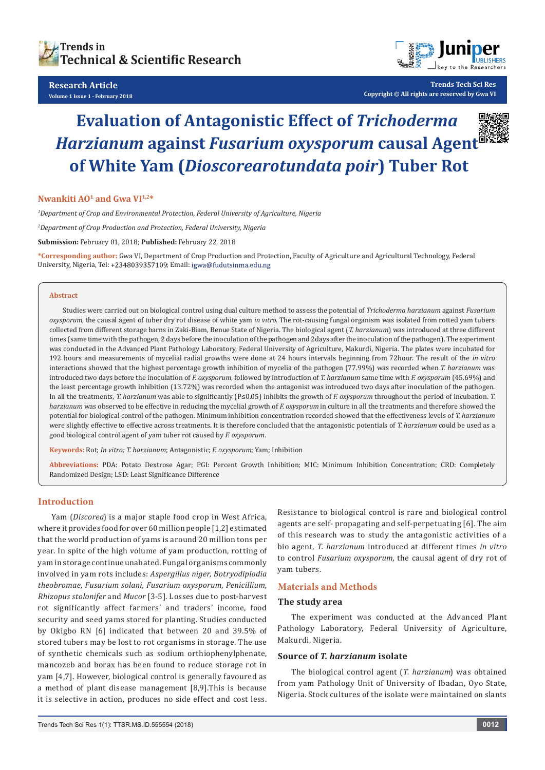

#### **Research Article Volume 1 Issue 1 - February 2018**



**Trends Tech Sci Res Copyright © All rights are reserved by Gwa VI**

# **Evaluation of Antagonistic Effect of** *Trichoderma Harzianum* **against** *Fusarium oxysporum* **causal Agent of White Yam (***Dioscorearotundata poir***) Tuber Rot**

**Nwankiti AO1 and Gwa VI1,2\***

*1 Department of Crop and Environmental Protection, Federal University of Agriculture, Nigeria*

*2 Department of Crop Production and Protection, Federal University, Nigeria*

**Submission:** February 01, 2018; **Published:** February 22, 2018

**\*Corresponding author:** Gwa VI, Department of Crop Production and Protection, Faculty of Agriculture and Agricultural Technology, Federal University, Nigeria, Tel: +2348039357109; Email: igwa@fudutsinma.edu.ng

#### **Abstract**

Studies were carried out on biological control using dual culture method to assess the potential of *Trichoderma harzianum* against *Fusarium oxysporum*, the causal agent of tuber dry rot disease of white yam *in vitro*. The rot-causing fungal organism was isolated from rotted yam tubers collected from different storage barns in Zaki-Biam, Benue State of Nigeria. The biological agent (*T. harzianum*) was introduced at three different times (same time with the pathogen, 2 days before the inoculation of the pathogen and 2days after the inoculation of the pathogen). The experiment was conducted in the Advanced Plant Pathology Laboratory, Federal University of Agriculture, Makurdi, Nigeria. The plates were incubated for 192 hours and measurements of mycelial radial growths were done at 24 hours intervals beginning from 72hour. The result of the *in vitro* interactions showed that the highest percentage growth inhibition of mycelia of the pathogen (77.99%) was recorded when *T. harzianum* was introduced two days before the inoculation of *F. oxysporum*, followed by introduction of *T. harzianum* same time with *F. oxysporum* (45.69%) and the least percentage growth inhibition (13.72%) was recorded when the antagonist was introduced two days after inoculation of the pathogen. In all the treatments, *T. harzianum* was able to significantly (P≤0.05) inhibits the growth of *F. oxysporum* throughout the period of incubation. *T. harzianum* was observed to be effective in reducing the mycelial growth of *F. oxysporum* in culture in all the treatments and therefore showed the potential for biological control of the pathogen. Minimum inhibition concentration recorded showed that the effectiveness levels of *T. harzianum* were slightly effective to effective across treatments. It is therefore concluded that the antagonistic potentials of *T. harzianum* could be used as a good biological control agent of yam tuber rot caused by *F. oxysporum*.

**Keywords:** Rot; *In vitro; T. harzianum*; Antagonistic; *F. oxysporum*; Yam; Inhibition

**Abbreviations:** PDA: Potato Dextrose Agar; PGI: Percent Growth Inhibition; MIC: Minimum Inhibition Concentration; CRD: Completely Randomized Design; LSD: Least Significance Difference

## **Introduction**

Yam (*Discorea*) is a major staple food crop in West Africa, where it provides food for over 60 million people [1,2] estimated that the world production of yams is around 20 million tons per year. In spite of the high volume of yam production, rotting of yam in storage continue unabated. Fungal organisms commonly involved in yam rots includes: *Aspergillus niger, Botryodiplodia theobromae, Fusarium solani, Fusarium oxysporum, Penicillium, Rhizopus stolonifer* and *Mucor* [3-5]. Losses due to post-harvest rot significantly affect farmers' and traders' income, food security and seed yams stored for planting. Studies conducted by Okigbo RN [6] indicated that between 20 and 39.5% of stored tubers may be lost to rot organisms in storage. The use of synthetic chemicals such as sodium orthiophenylphenate, mancozeb and borax has been found to reduce storage rot in yam [4,7]. However, biological control is generally favoured as a method of plant disease management [8,9].This is because it is selective in action, produces no side effect and cost less.

Resistance to biological control is rare and biological control agents are self- propagating and self-perpetuating [6]. The aim of this research was to study the antagonistic activities of a bio agent, *T. harzianum* introduced at different times *in vitro* to control *Fusarium oxysporum*, the causal agent of dry rot of yam tubers.

## **Materials and Methods**

#### **The study area**

The experiment was conducted at the Advanced Plant Pathology Laboratory, Federal University of Agriculture, Makurdi, Nigeria.

### **Source of** *T. harzianum* **isolate**

The biological control agent (*T. harzianum*) was obtained from yam Pathology Unit of University of Ibadan, Oyo State, Nigeria. Stock cultures of the isolate were maintained on slants

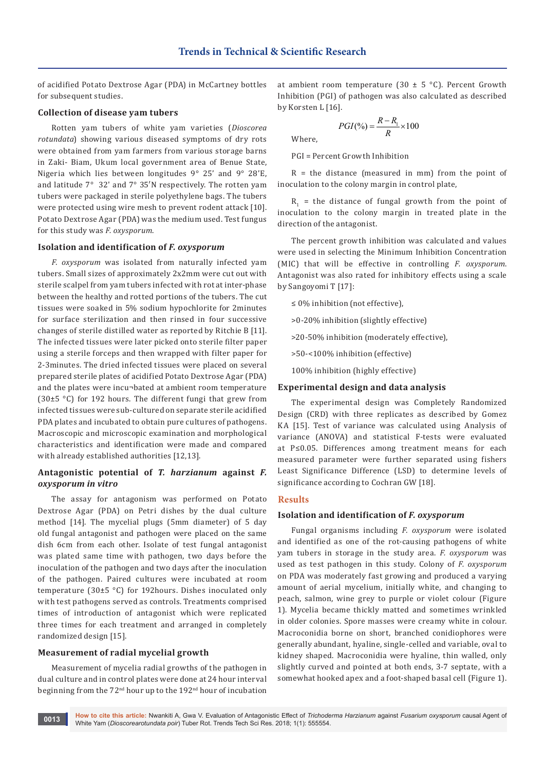of acidified Potato Dextrose Agar (PDA) in McCartney bottles for subsequent studies.

### **Collection of disease yam tubers**

Rotten yam tubers of white yam varieties (*Dioscorea rotundata*) showing various diseased symptoms of dry rots were obtained from yam farmers from various storage barns in Zaki- Biam, Ukum local government area of Benue State, Nigeria which lies between longitudes 9° 25' and 9° 28'E, and latitude 7° 32ʹ and 7° 35′N respectively. The rotten yam tubers were packaged in sterile polyethylene bags. The tubers were protected using wire mesh to prevent rodent attack [10]. Potato Dextrose Agar (PDA) was the medium used. Test fungus for this study was *F. oxysporum*.

#### **Isolation and identification of** *F. oxysporum*

*F. oxysporum* was isolated from naturally infected yam tubers. Small sizes of approximately 2x2mm were cut out with sterile scalpel from yam tubers infected with rot at inter-phase between the healthy and rotted portions of the tubers. The cut tissues were soaked in 5% sodium hypochlorite for 2minutes for surface sterilization and then rinsed in four successive changes of sterile distilled water as reported by Ritchie B [11]. The infected tissues were later picked onto sterile filter paper using a sterile forceps and then wrapped with filter paper for 2-3minutes. The dried infected tissues were placed on several prepared sterile plates of acidified Potato Dextrose Agar (PDA) and the plates were incu¬bated at ambient room temperature (30±5 °C) for 192 hours. The different fungi that grew from infected tissues were sub-cultured on separate sterile acidified PDA plates and incubated to obtain pure cultures of pathogens. Macroscopic and microscopic examination and morphological characteristics and identification were made and compared with already established authorities [12,13].

## **Antagonistic potential of** *T. harzianum* **against** *F. oxysporum in vitro*

The assay for antagonism was performed on Potato Dextrose Agar (PDA) on Petri dishes by the dual culture method [14]. The mycelial plugs (5mm diameter) of 5 day old fungal antagonist and pathogen were placed on the same dish 6cm from each other. Isolate of test fungal antagonist was plated same time with pathogen, two days before the inoculation of the pathogen and two days after the inoculation of the pathogen. Paired cultures were incubated at room temperature (30±5 °C) for 192hours. Dishes inoculated only with test pathogens served as controls. Treatments comprised times of introduction of antagonist which were replicated three times for each treatment and arranged in completely randomized design [15].

### **Measurement of radial mycelial growth**

Measurement of mycelia radial growths of the pathogen in dual culture and in control plates were done at 24 hour interval beginning from the 72<sup>nd</sup> hour up to the 192<sup>nd</sup> hour of incubation

at ambient room temperature (30  $\pm$  5 °C). Percent Growth Inhibition (PGI) of pathogen was also calculated as described by Korsten L [16].

Where,

 $PGI(\%)=\frac{R-R_1}{R}\times 100$  $=\frac{R-R_1}{R_1}\times$ 

PGI = Percent Growth Inhibition

 $R =$  the distance (measured in mm) from the point of inoculation to the colony margin in control plate,

 $R_1$  = the distance of fungal growth from the point of inoculation to the colony margin in treated plate in the direction of the antagonist.

The percent growth inhibition was calculated and values were used in selecting the Minimum Inhibition Concentration (MIC) that will be effective in controlling *F. oxysporum*. Antagonist was also rated for inhibitory effects using a scale by Sangoyomi T [17]:

≤ 0% inhibition (not effective),

>0-20% inhibition (slightly effective)

>20-50% inhibition (moderately effective),

>50-<100% inhibition (effective)

100% inhibition (highly effective)

#### **Experimental design and data analysis**

The experimental design was Completely Randomized Design (CRD) with three replicates as described by Gomez KA [15]. Test of variance was calculated using Analysis of variance (ANOVA) and statistical F-tests were evaluated at P≤0.05. Differences among treatment means for each measured parameter were further separated using fishers Least Significance Difference (LSD) to determine levels of significance according to Cochran GW [18].

## **Results**

#### **Isolation and identification of** *F. oxysporum*

Fungal organisms including *F. oxysporum* were isolated and identified as one of the rot-causing pathogens of white yam tubers in storage in the study area. *F. oxysporum* was used as test pathogen in this study. Colony of *F. oxysporum* on PDA was moderately fast growing and produced a varying amount of aerial mycelium, initially white, and changing to peach, salmon, wine grey to purple or violet colour (Figure 1). Mycelia became thickly matted and sometimes wrinkled in older colonies. Spore masses were creamy white in colour. Macroconidia borne on short, branched conidiophores were generally abundant, hyaline, single-celled and variable, oval to kidney shaped. Macroconidia were hyaline, thin walled, only slightly curved and pointed at both ends, 3-7 septate, with a somewhat hooked apex and a foot-shaped basal cell (Figure 1).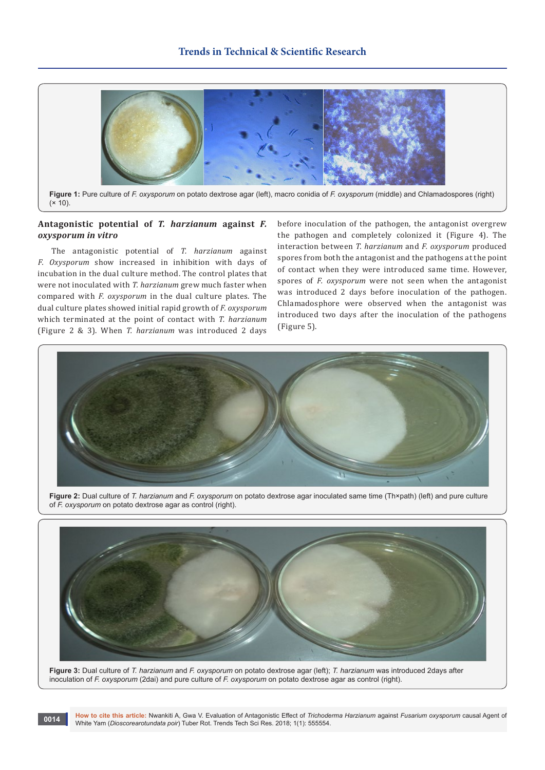

**Figure 1:** Pure culture of *F. oxysporum* on potato dextrose agar (left), macro conidia of *F. oxysporum* (middle) and Chlamadospores (right)  $(x 10)$ .

# **Antagonistic potential of** *T. harzianum* **against** *F. oxysporum in vitro*

The antagonistic potential of *T. harzianum* against *F. Oxysporum* show increased in inhibition with days of incubation in the dual culture method. The control plates that were not inoculated with *T. harzianum* grew much faster when compared with *F. oxysporum* in the dual culture plates. The dual culture plates showed initial rapid growth of *F. oxysporum*  which terminated at the point of contact with *T. harzianum* (Figure 2 & 3). When *T. harzianum* was introduced 2 days

before inoculation of the pathogen, the antagonist overgrew the pathogen and completely colonized it (Figure 4). The interaction between *T. harzianum* and *F. oxysporum* produced spores from both the antagonist and the pathogens at the point of contact when they were introduced same time. However, spores of *F. oxysporum* were not seen when the antagonist was introduced 2 days before inoculation of the pathogen. Chlamadosphore were observed when the antagonist was introduced two days after the inoculation of the pathogens (Figure 5).



**Figure 2:** Dual culture of *T. harzianum* and *F. oxysporum* on potato dextrose agar inoculated same time (Th×path) (left) and pure culture of *F. oxysporum* on potato dextrose agar as control (right).



**Figure 3:** Dual culture of *T. harzianum* and *F. oxysporum* on potato dextrose agar (left); *T. harzianum* was introduced 2days after inoculation of *F. oxysporum* (2dai) and pure culture of *F. oxysporum* on potato dextrose agar as control (right).

**How to cite this article:** Nwankiti A, Gwa V. Evaluation of Antagonistic Effect of *Trichoderma Harzianum* against *Fusarium oxysporum* causal Agent of **0014 Transfer Constructed Manufature Constructed** Manufature Internation of Antagonistic Effect of *Trichode*<br>White Yam (*Dioscorearotundata poir*) Tuber Rot. Trends Tech Sci Res. 2018; 1(1): 555554.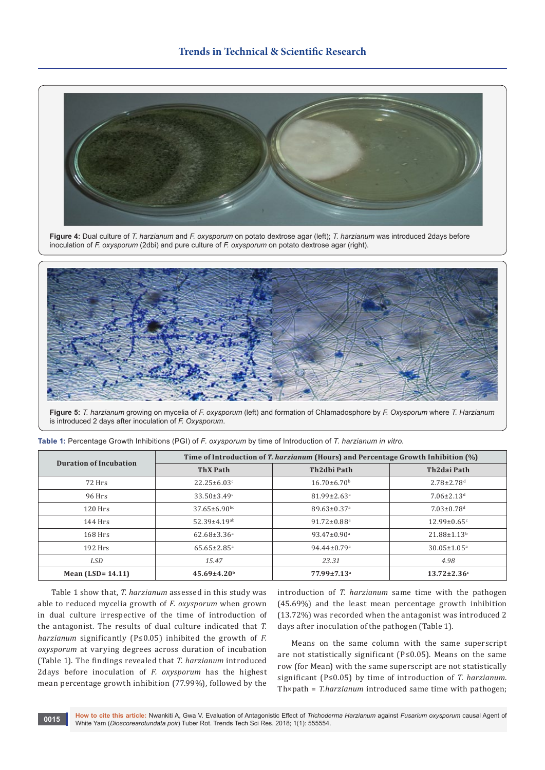

**Figure 4:** Dual culture of *T. harzianum* and *F. oxysporum* on potato dextrose agar (left); *T. harzianum* was introduced 2days before inoculation of *F. oxysporum* (2dbi) and pure culture of *F. oxysporum* on potato dextrose agar (right).



**Figure 5:** *T. harzianum* growing on mycelia of *F. oxysporum* (left) and formation of Chlamadosphore by *F. Oxysporum* where *T. Harzianum* is introduced 2 days after inoculation of *F. Oxysporum*.

| <b>Duration of Incubation</b> | Time of Introduction of T. harzianum (Hours) and Percentage Growth Inhibition (%) |                               |                               |  |
|-------------------------------|-----------------------------------------------------------------------------------|-------------------------------|-------------------------------|--|
|                               | <b>ThX Path</b>                                                                   | Th2dbi Path                   | Th2dai Path                   |  |
| 72 Hrs                        | $22.25 \pm 6.03$ <sup>c</sup>                                                     | $16.70 \pm 6.70$ <sup>b</sup> | $2.78 \pm 2.78$ <sup>d</sup>  |  |
| 96 Hrs                        | $33.50 \pm 3.49$ <sup>c</sup>                                                     | $81.99 \pm 2.63$ <sup>a</sup> | $7.06 \pm 2.13$ <sup>d</sup>  |  |
| $120$ Hrs                     | $37.65 \pm 6.90$ bc                                                               | $89.63 \pm 0.37$ <sup>a</sup> | $7.03 \pm 0.78$ <sup>d</sup>  |  |
| $144$ Hrs                     | $52.39 \pm 4.19$ <sup>ab</sup>                                                    | $91.72 \pm 0.88$ <sup>a</sup> | $12.99 \pm 0.65$ <sup>c</sup> |  |
| $168$ Hrs                     | $62.68 \pm 3.36^a$                                                                | $93.47 \pm 0.90^{\circ}$      | $21.88 \pm 1.13$ <sup>b</sup> |  |
| $192$ Hrs                     | $65.65 \pm 2.85$ <sup>a</sup>                                                     | $94.44 \pm 0.79$ <sup>a</sup> | $30.05 \pm 1.05$ <sup>a</sup> |  |
| LSD                           | 15.47                                                                             | 23.31                         | 4.98                          |  |
| Mean $(LSD = 14.11)$          | $45.69 \pm 4.20$ <sup>b</sup>                                                     | 77.99±7.13 <sup>a</sup>       | $13.72 \pm 2.36$ c            |  |

**Table 1:** Percentage Growth Inhibitions (PGI) of *F. oxysporum* by time of Introduction of *T. harzianum in vitro*.

Table 1 show that, *T. harzianum* assessed in this study was able to reduced mycelia growth of *F. oxysporum* when grown in dual culture irrespective of the time of introduction of the antagonist. The results of dual culture indicated that *T. harzianum* significantly (P≤0.05) inhibited the growth of *F. oxysporum* at varying degrees across duration of incubation (Table 1). The findings revealed that *T. harzianum* introduced 2days before inoculation of *F. oxysporum* has the highest mean percentage growth inhibition (77.99%), followed by the

introduction of *T. harzianum* same time with the pathogen (45.69%) and the least mean percentage growth inhibition (13.72%) was recorded when the antagonist was introduced 2 days after inoculation of the pathogen (Table 1).

Means on the same column with the same superscript are not statistically significant (P≤0.05). Means on the same row (for Mean) with the same superscript are not statistically significant (P≤0.05) by time of introduction of *T. harzianum*. Th×path = *T.harzianum* introduced same time with pathogen;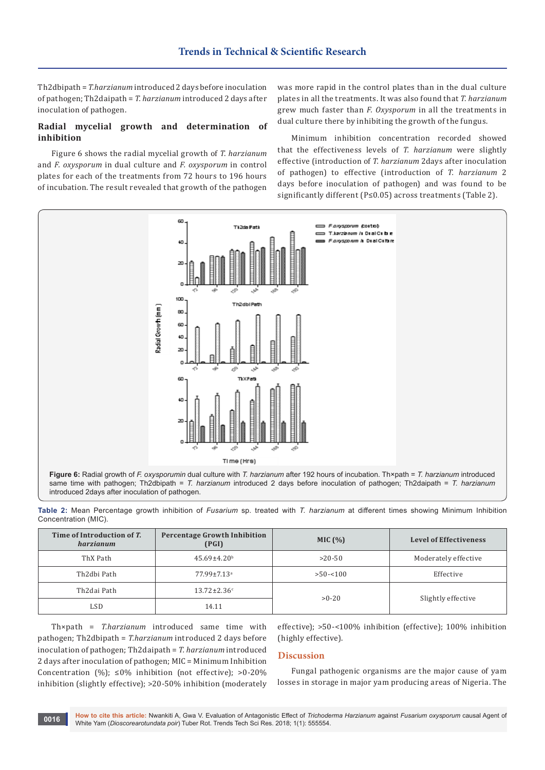Th2dbipath = *T.harzianum* introduced 2 days before inoculation of pathogen; Th2daipath = *T. harzianum* introduced 2 days after inoculation of pathogen.

# **Radial mycelial growth and determination of inhibition**

Figure 6 shows the radial mycelial growth of *T. harzianum* and *F. oxysporum* in dual culture and *F. oxysporum* in control plates for each of the treatments from 72 hours to 196 hours of incubation. The result revealed that growth of the pathogen



Minimum inhibition concentration recorded showed that the effectiveness levels of *T. harzianum* were slightly effective (introduction of *T. harzianum* 2days after inoculation of pathogen) to effective (introduction of *T. harzianum* 2 days before inoculation of pathogen) and was found to be significantly different (P≤0.05) across treatments (Table 2).



**Table 2:** Mean Percentage growth inhibition of *Fusarium* sp. treated with *T. harzianum* at different times showing Minimum Inhibition Concentration (MIC).

| Time of Introduction of T.<br>harzianum | <b>Percentage Growth Inhibition</b><br>(PGI) | MIC(%)      | <b>Level of Effectiveness</b> |
|-----------------------------------------|----------------------------------------------|-------------|-------------------------------|
| ThX Path                                | $45.69 \pm 4.20$ <sup>b</sup>                | $>20-50$    | Moderately effective          |
| Th2dbi Path                             | $77.99 \pm 7.13$ <sup>a</sup>                | $>50 - 100$ | Effective                     |
| Th2dai Path                             | $13.72 \pm 2.36^{\circ}$                     | $>0-20$     | Slightly effective            |
| LSD                                     | 14.11                                        |             |                               |

Th×path = *T.harzianum* introduced same time with pathogen; Th2dbipath = *T.harzianum* introduced 2 days before inoculation of pathogen; Th2daipath = *T. harzianum* introduced 2 days after inoculation of pathogen; MIC = Minimum Inhibition Concentration (%);  $\leq 0$ % inhibition (not effective);  $>0$ -20% inhibition (slightly effective); >20-50% inhibition (moderately

effective); >50-<100% inhibition (effective); 100% inhibition (highly effective).

## **Discussion**

Fungal pathogenic organisms are the major cause of yam losses in storage in major yam producing areas of Nigeria. The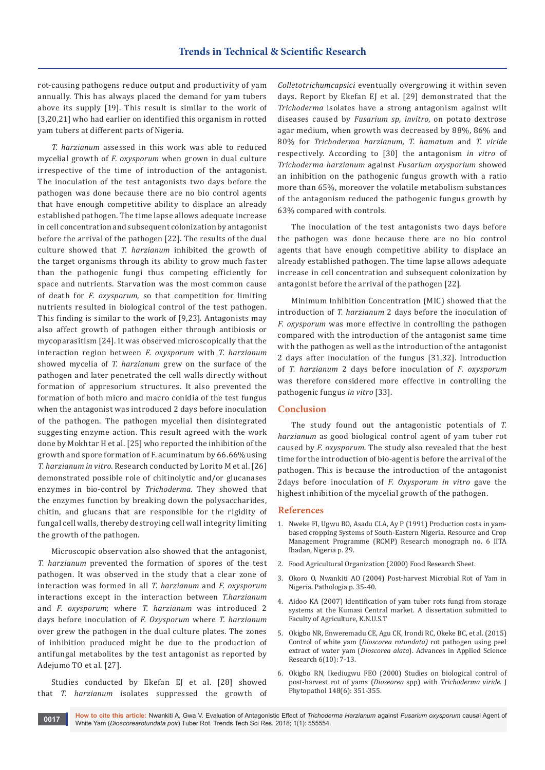rot-causing pathogens reduce output and productivity of yam annually. This has always placed the demand for yam tubers above its supply [19]. This result is similar to the work of [3,20,21] who had earlier on identified this organism in rotted yam tubers at different parts of Nigeria.

*T. harzianum* assessed in this work was able to reduced mycelial growth of *F. oxysporum* when grown in dual culture irrespective of the time of introduction of the antagonist. The inoculation of the test antagonists two days before the pathogen was done because there are no bio control agents that have enough competitive ability to displace an already established pathogen. The time lapse allows adequate increase in cell concentration and subsequent colonization by antagonist before the arrival of the pathogen [22]. The results of the dual culture showed that *T. harzianum* inhibited the growth of the target organisms through its ability to grow much faster than the pathogenic fungi thus competing efficiently for space and nutrients. Starvation was the most common cause of death for *F. oxysporum*, so that competition for limiting nutrients resulted in biological control of the test pathogen. This finding is similar to the work of [9,23]. Antagonists may also affect growth of pathogen either through antibiosis or mycoparasitism [24]. It was observed microscopically that the interaction region between *F. oxysporum* with *T. harzianum* showed mycelia of *T. harzianum* grew on the surface of the pathogen and later penetrated the cell walls directly without formation of appresorium structures. It also prevented the formation of both micro and macro conidia of the test fungus when the antagonist was introduced 2 days before inoculation of the pathogen. The pathogen mycelial then disintegrated suggesting enzyme action. This result agreed with the work done by Mokhtar H et al. [25] who reported the inhibition of the growth and spore formation of F. acuminatum by 66.66% using *T. harzianum in vitro*. Research conducted by Lorito M et al. [26] demonstrated possible role of chitinolytic and/or glucanases enzymes in bio-control by *Trichoderma*. They showed that the enzymes function by breaking down the polysaccharides, chitin, and glucans that are responsible for the rigidity of fungal cell walls, thereby destroying cell wall integrity limiting the growth of the pathogen.

Microscopic observation also showed that the antagonist, *T. harzianum* prevented the formation of spores of the test pathogen. It was observed in the study that a clear zone of interaction was formed in all *T. harzianum* and *F. oxysporum* interactions except in the interaction between *T.harzianum*  and *F. oxysporum*; where *T. harzianum* was introduced 2 days before inoculation of *F. Oxysporum* where *T. harzianum* over grew the pathogen in the dual culture plates. The zones of inhibition produced might be due to the production of antifungal metabolites by the test antagonist as reported by Adejumo TO et al. [27].

Studies conducted by Ekefan EJ et al. [28] showed that *T. harzianum* isolates suppressed the growth of *Colletotrichumcapsici* eventually overgrowing it within seven days. Report by Ekefan EJ et al. [29] demonstrated that the *Trichoderma* isolates have a strong antagonism against wilt diseases caused by *Fusarium sp, invitro*, on potato dextrose agar medium, when growth was decreased by 88%, 86% and 80% for *Trichoderma harzianum, T. hamatum* and *T. viride*  respectively. According to [30] the antagonism *in vitro* of *Trichoderma harzianum* against *Fusarium oxysporium* showed an inhibition on the pathogenic fungus growth with a ratio more than 65%, moreover the volatile metabolism substances of the antagonism reduced the pathogenic fungus growth by 63% compared with controls.

The inoculation of the test antagonists two days before the pathogen was done because there are no bio control agents that have enough competitive ability to displace an already established pathogen. The time lapse allows adequate increase in cell concentration and subsequent colonization by antagonist before the arrival of the pathogen [22].

Minimum Inhibition Concentration (MIC) showed that the introduction of *T. harzianum* 2 days before the inoculation of *F. oxysporum* was more effective in controlling the pathogen compared with the introduction of the antagonist same time with the pathogen as well as the introduction of the antagonist 2 days after inoculation of the fungus [31,32]. Introduction of *T. harzianum* 2 days before inoculation of *F. oxysporum* was therefore considered more effective in controlling the pathogenic fungus *in vitro* [33].

#### **Conclusion**

The study found out the antagonistic potentials of *T. harzianum* as good biological control agent of yam tuber rot caused by *F. oxysporum*. The study also revealed that the best time for the introduction of bio-agent is before the arrival of the pathogen. This is because the introduction of the antagonist 2days before inoculation of *F. Oxysporum in vitro* gave the highest inhibition of the mycelial growth of the pathogen.

#### **References**

- 1. Nweke FI, Ugwu BO, Asadu CLA, Ay P (1991) Production costs in yambased cropping Systems of South-Eastern Nigeria. Resource and Crop Management Programme (RCMP) Research monograph no. 6 IITA Ibadan, Nigeria p. 29.
- 2. Food Agricultural Organization (2000) Food Research Sheet.
- 3. Okoro O, Nwankiti AO (2004) Post-harvest Microbial Rot of Yam in Nigeria. Pathologia p. 35-40.
- 4. Aidoo KA (2007) Identification of yam tuber rots fungi from storage systems at the Kumasi Central market. A dissertation submitted to Faculty of Agriculture, K.N.U.S.T
- 5. Okigbo NR, Enweremadu CE, Agu CK, Irondi RC, Okeke BC, et al. (2015) Control of white yam (*Dioscorea rotundata)* rot pathogen using peel extract of water yam (*Dioscorea alata*). Advances in Applied Science Research 6(10): 7-13.
- 6. [Okigbo RN, Ikediugwu FEO \(2000\) Studies on biological control of](http://onlinelibrary.wiley.com/doi/10.1046/j.1439-0434.2000.00515.x/abstract)  post-harvest rot of yams (*Dioseorea* spp) with *Trichoderma viride*. J [Phytopathol 148\(6\): 351-355.](http://onlinelibrary.wiley.com/doi/10.1046/j.1439-0434.2000.00515.x/abstract)